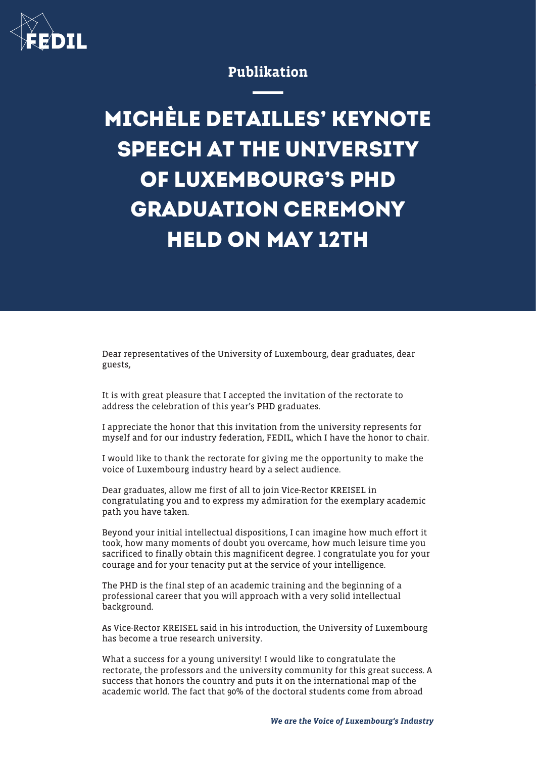

## Publikation

## **MICHÈLE DETAILLES' KEYNOTE SPEECH AT THE UNIVERSITY OF LUXEMBOURG'S PHD GRADUATION CEREMONY HELD ON MAY 12TH**

Dear representatives of the University of Luxembourg, dear graduates, dear guests,

It is with great pleasure that I accepted the invitation of the rectorate to address the celebration of this year's PHD graduates.

I appreciate the honor that this invitation from the university represents for myself and for our industry federation, FEDIL, which I have the honor to chair.

I would like to thank the rectorate for giving me the opportunity to make the voice of Luxembourg industry heard by a select audience.

Dear graduates, allow me first of all to join Vice-Rector KREISEL in congratulating you and to express my admiration for the exemplary academic path you have taken.

Beyond your initial intellectual dispositions, I can imagine how much effort it took, how many moments of doubt you overcame, how much leisure time you sacrificed to finally obtain this magnificent degree. I congratulate you for your courage and for your tenacity put at the service of your intelligence.

The PHD is the final step of an academic training and the beginning of a professional career that you will approach with a very solid intellectual background.

As Vice-Rector KREISEL said in his introduction, the University of Luxembourg has become a true research university.

What a success for a young university! I would like to congratulate the rectorate, the professors and the university community for this great success. A success that honors the country and puts it on the international map of the academic world. The fact that 90% of the doctoral students come from abroad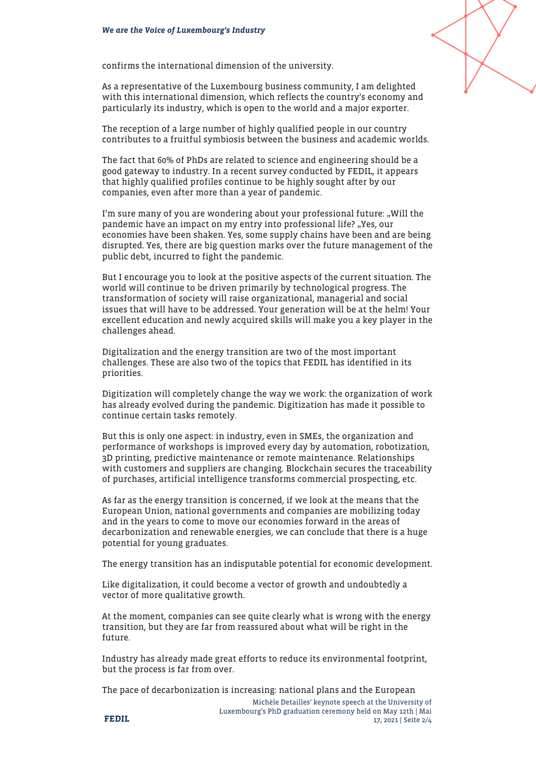

As a representative of the Luxembourg business community, I am delighted with this international dimension, which reflects the country's economy and particularly its industry, which is open to the world and a major exporter.

The reception of a large number of highly qualified people in our country contributes to a fruitful symbiosis between the business and academic worlds.

The fact that 60% of PhDs are related to science and engineering should be a good gateway to industry. In a recent survey conducted by FEDIL, it appears that highly qualified profiles continue to be highly sought after by our companies, even after more than a year of pandemic.

I'm sure many of you are wondering about your professional future: "Will the pandemic have an impact on my entry into professional life? "Yes, our economies have been shaken. Yes, some supply chains have been and are being disrupted. Yes, there are big question marks over the future management of the public debt, incurred to fight the pandemic.

But I encourage you to look at the positive aspects of the current situation. The world will continue to be driven primarily by technological progress. The transformation of society will raise organizational, managerial and social issues that will have to be addressed. Your generation will be at the helm! Your excellent education and newly acquired skills will make you a key player in the challenges ahead.

Digitalization and the energy transition are two of the most important challenges. These are also two of the topics that FEDIL has identified in its priorities.

Digitization will completely change the way we work: the organization of work has already evolved during the pandemic. Digitization has made it possible to continue certain tasks remotely.

But this is only one aspect: in industry, even in SMEs, the organization and performance of workshops is improved every day by automation, robotization, 3D printing, predictive maintenance or remote maintenance. Relationships with customers and suppliers are changing. Blockchain secures the traceability of purchases, artificial intelligence transforms commercial prospecting, etc.

As far as the energy transition is concerned, if we look at the means that the European Union, national governments and companies are mobilizing today and in the years to come to move our economies forward in the areas of decarbonization and renewable energies, we can conclude that there is a huge potential for young graduates.

The energy transition has an indisputable potential for economic development.

Like digitalization, it could become a vector of growth and undoubtedly a vector of more qualitative growth.

At the moment, companies can see quite clearly what is wrong with the energy transition, but they are far from reassured about what will be right in the future.

Industry has already made great efforts to reduce its environmental footprint, but the process is far from over.

The pace of decarbonization is increasing: national plans and the European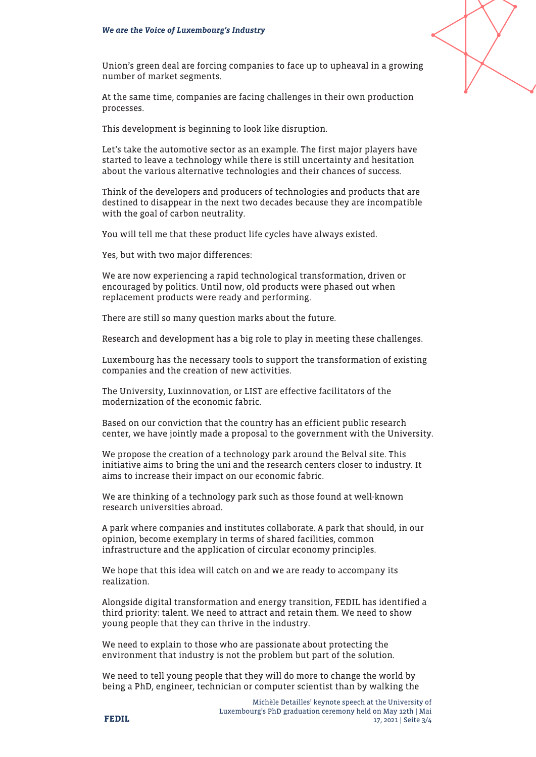

Union's green deal are forcing companies to face up to upheaval in a growing number of market segments.

At the same time, companies are facing challenges in their own production processes.

This development is beginning to look like disruption.

Let's take the automotive sector as an example. The first major players have started to leave a technology while there is still uncertainty and hesitation about the various alternative technologies and their chances of success.

Think of the developers and producers of technologies and products that are destined to disappear in the next two decades because they are incompatible with the goal of carbon neutrality.

You will tell me that these product life cycles have always existed.

Yes, but with two major differences:

We are now experiencing a rapid technological transformation, driven or encouraged by politics. Until now, old products were phased out when replacement products were ready and performing.

There are still so many question marks about the future.

Research and development has a big role to play in meeting these challenges.

Luxembourg has the necessary tools to support the transformation of existing companies and the creation of new activities.

The University, Luxinnovation, or LIST are effective facilitators of the modernization of the economic fabric.

Based on our conviction that the country has an efficient public research center, we have jointly made a proposal to the government with the University.

We propose the creation of a technology park around the Belval site. This initiative aims to bring the uni and the research centers closer to industry. It aims to increase their impact on our economic fabric.

We are thinking of a technology park such as those found at well-known research universities abroad.

A park where companies and institutes collaborate. A park that should, in our opinion, become exemplary in terms of shared facilities, common infrastructure and the application of circular economy principles.

We hope that this idea will catch on and we are ready to accompany its realization.

Alongside digital transformation and energy transition, FEDIL has identified a third priority: talent. We need to attract and retain them. We need to show young people that they can thrive in the industry.

We need to explain to those who are passionate about protecting the environment that industry is not the problem but part of the solution.

We need to tell young people that they will do more to change the world by being a PhD, engineer, technician or computer scientist than by walking the